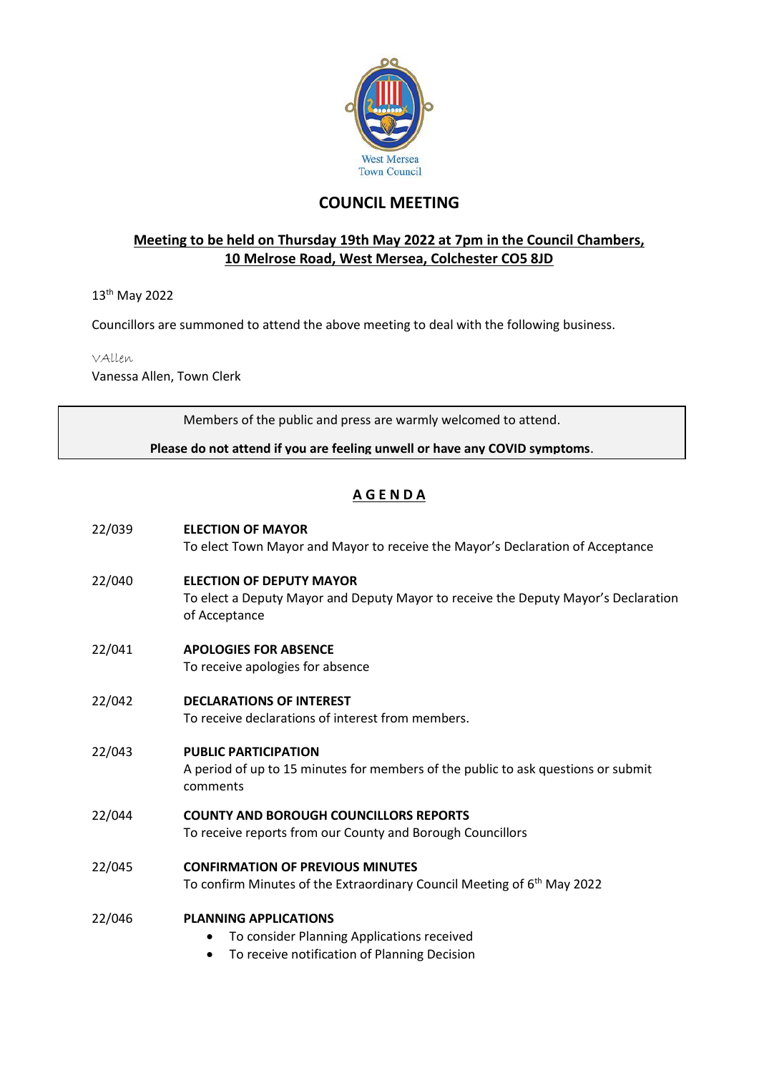

# **COUNCIL MEETING**

## **Meeting to be held on Thursday 19th May 2022 at 7pm in the Council Chambers, 10 Melrose Road, West Mersea, Colchester CO5 8JD**

13th May 2022

Councillors are summoned to attend the above meeting to deal with the following business.

VAllen

Vanessa Allen, Town Clerk

Members of the public and press are warmly welcomed to attend.

**Please do not attend if you are feeling unwell or have any COVID symptoms**.

## **A G E N D A**

| 22/039 | <b>ELECTION OF MAYOR</b><br>To elect Town Mayor and Mayor to receive the Mayor's Declaration of Acceptance                                   |
|--------|----------------------------------------------------------------------------------------------------------------------------------------------|
| 22/040 | <b>ELECTION OF DEPUTY MAYOR</b><br>To elect a Deputy Mayor and Deputy Mayor to receive the Deputy Mayor's Declaration<br>of Acceptance       |
| 22/041 | <b>APOLOGIES FOR ABSENCE</b><br>To receive apologies for absence                                                                             |
| 22/042 | <b>DECLARATIONS OF INTEREST</b><br>To receive declarations of interest from members.                                                         |
| 22/043 | <b>PUBLIC PARTICIPATION</b><br>A period of up to 15 minutes for members of the public to ask questions or submit<br>comments                 |
| 22/044 | <b>COUNTY AND BOROUGH COUNCILLORS REPORTS</b><br>To receive reports from our County and Borough Councillors                                  |
| 22/045 | <b>CONFIRMATION OF PREVIOUS MINUTES</b><br>To confirm Minutes of the Extraordinary Council Meeting of 6 <sup>th</sup> May 2022               |
| 22/046 | <b>PLANNING APPLICATIONS</b><br>To consider Planning Applications received<br>$\bullet$<br>To receive notification of Planning Decision<br>٠ |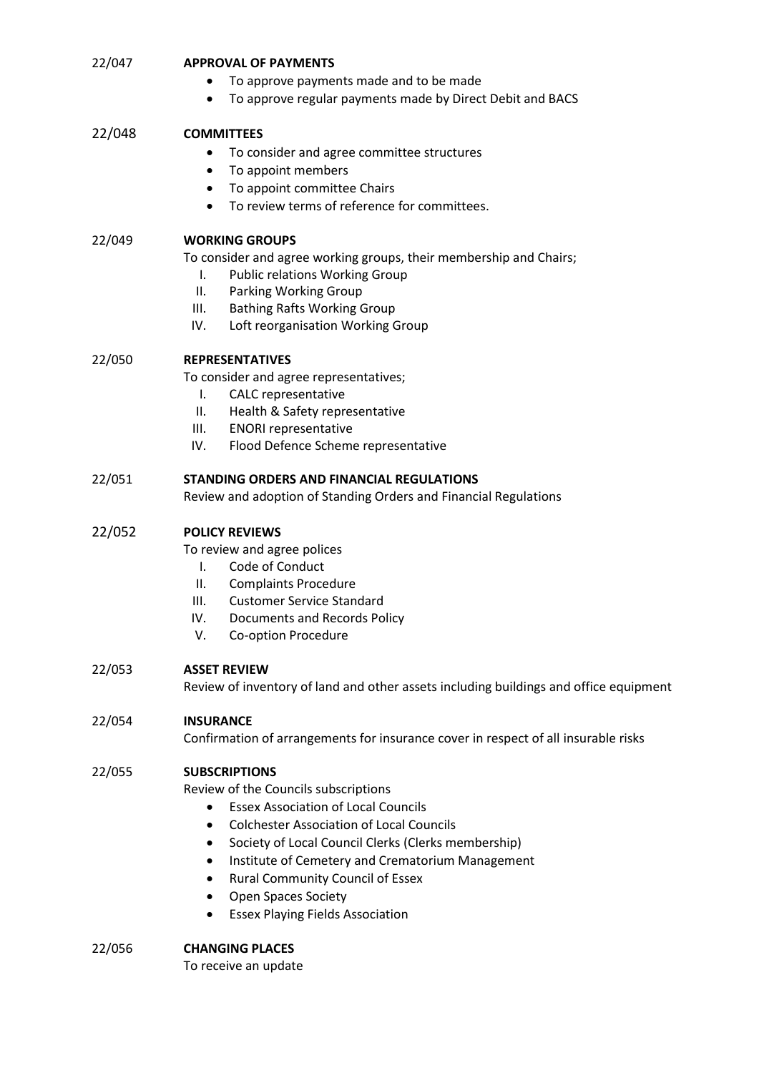|        | To approve payments made and to be made                                               |
|--------|---------------------------------------------------------------------------------------|
|        | To approve regular payments made by Direct Debit and BACS                             |
| 22/048 | <b>COMMITTEES</b>                                                                     |
|        | To consider and agree committee structures<br>٠                                       |
|        | To appoint members<br>٠                                                               |
|        | To appoint committee Chairs<br>٠                                                      |
|        | To review terms of reference for committees.                                          |
| 22/049 | <b>WORKING GROUPS</b>                                                                 |
|        | To consider and agree working groups, their membership and Chairs;                    |
|        | <b>Public relations Working Group</b><br>I.                                           |
|        | Parking Working Group<br>Ш.                                                           |
|        | III.<br><b>Bathing Rafts Working Group</b>                                            |
|        | IV.<br>Loft reorganisation Working Group                                              |
| 22/050 | <b>REPRESENTATIVES</b>                                                                |
|        | To consider and agree representatives;                                                |
|        | <b>CALC</b> representative<br>I.                                                      |
|        | Health & Safety representative<br>Ш.                                                  |
|        | III.<br><b>ENORI representative</b>                                                   |
|        | IV.<br>Flood Defence Scheme representative                                            |
| 22/051 | STANDING ORDERS AND FINANCIAL REGULATIONS                                             |
|        | Review and adoption of Standing Orders and Financial Regulations                      |
| 22/052 | <b>POLICY REVIEWS</b>                                                                 |
|        | To review and agree polices                                                           |
|        | Code of Conduct<br>Ι.                                                                 |
|        | <b>Complaints Procedure</b><br>Ш.                                                     |
|        | III.<br><b>Customer Service Standard</b>                                              |
|        | IV.<br>Documents and Records Policy                                                   |
|        | V.<br>Co-option Procedure                                                             |
| 22/053 | <b>ASSET REVIEW</b>                                                                   |
|        | Review of inventory of land and other assets including buildings and office equipment |
| 22/054 | <b>INSURANCE</b>                                                                      |
|        | Confirmation of arrangements for insurance cover in respect of all insurable risks    |
| 22/055 | <b>SUBSCRIPTIONS</b>                                                                  |
|        | Review of the Councils subscriptions                                                  |
|        | <b>Essex Association of Local Councils</b><br>$\bullet$                               |
|        | <b>Colchester Association of Local Councils</b><br>$\bullet$                          |
|        | Society of Local Council Clerks (Clerks membership)<br>٠                              |
|        | Institute of Cemetery and Crematorium Management<br>$\bullet$                         |
|        | <b>Rural Community Council of Essex</b><br>٠                                          |
|        | <b>Open Spaces Society</b>                                                            |
|        | <b>Essex Playing Fields Association</b><br>$\bullet$                                  |
| 22/056 | <b>CHANGING PLACES</b>                                                                |
|        | To receive an update                                                                  |

22/047 **APPROVAL OF PAYMENTS**